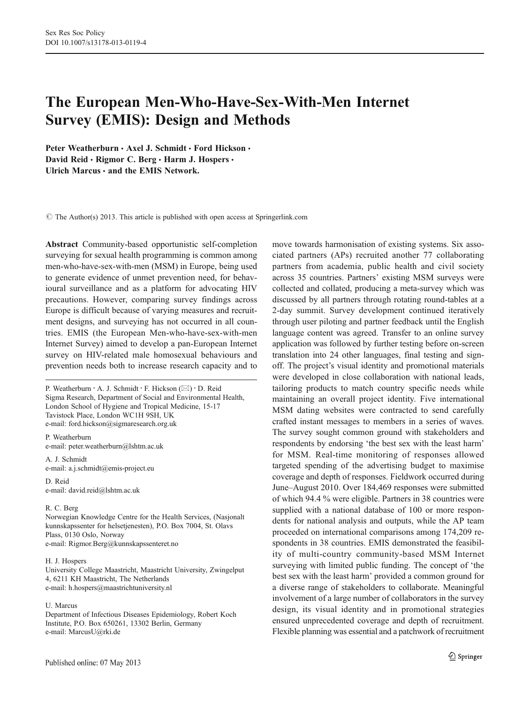# The European Men-Who-Have-Sex-With-Men Internet Survey (EMIS): Design and Methods

Peter Weatherburn · Axel J. Schmidt · Ford Hickson · David Reid · Rigmor C. Berg · Harm J. Hospers · Ulrich Marcus  $\cdot$  and the EMIS Network.

 $\odot$  The Author(s) 2013. This article is published with open access at Springerlink.com

Abstract Community-based opportunistic self-completion surveying for sexual health programming is common among men-who-have-sex-with-men (MSM) in Europe, being used to generate evidence of unmet prevention need, for behavioural surveillance and as a platform for advocating HIV precautions. However, comparing survey findings across Europe is difficult because of varying measures and recruitment designs, and surveying has not occurred in all countries. EMIS (the European Men-who-have-sex-with-men Internet Survey) aimed to develop a pan-European Internet survey on HIV-related male homosexual behaviours and prevention needs both to increase research capacity and to

P. Weatherburn · A. J. Schmidt · F. Hickson (⊠) · D. Reid Sigma Research, Department of Social and Environmental Health, London School of Hygiene and Tropical Medicine, 15-17 Tavistock Place, London WC1H 9SH, UK e-mail: ford.hickson@sigmaresearch.org.uk

P. Weatherburn e-mail: peter.weatherburn@lshtm.ac.uk

A. J. Schmidt e-mail: a.j.schmidt@emis-project.eu

D. Reid e-mail: david.reid@lshtm.ac.uk

#### R. C. Berg

Norwegian Knowledge Centre for the Health Services, (Nasjonalt kunnskapssenter for helsetjenesten), P.O. Box 7004, St. Olavs Plass, 0130 Oslo, Norway e-mail: Rigmor.Berg@kunnskapssenteret.no

#### H. J. Hospers

University College Maastricht, Maastricht University, Zwingelput 4, 6211 KH Maastricht, The Netherlands e-mail: h.hospers@maastrichtuniversity.nl

#### U. Marcus

Department of Infectious Diseases Epidemiology, Robert Koch Institute, P.O. Box 650261, 13302 Berlin, Germany e-mail: MarcusU@rki.de

Published online: 07 May 2013

move towards harmonisation of existing systems. Six associated partners (APs) recruited another 77 collaborating partners from academia, public health and civil society across 35 countries. Partners' existing MSM surveys were collected and collated, producing a meta-survey which was discussed by all partners through rotating round-tables at a 2-day summit. Survey development continued iteratively through user piloting and partner feedback until the English language content was agreed. Transfer to an online survey application was followed by further testing before on-screen translation into 24 other languages, final testing and signoff. The project's visual identity and promotional materials were developed in close collaboration with national leads, tailoring products to match country specific needs while maintaining an overall project identity. Five international MSM dating websites were contracted to send carefully crafted instant messages to members in a series of waves. The survey sought common ground with stakeholders and respondents by endorsing 'the best sex with the least harm' for MSM. Real-time monitoring of responses allowed targeted spending of the advertising budget to maximise coverage and depth of responses. Fieldwork occurred during June–August 2010. Over 184,469 responses were submitted of which 94.4 % were eligible. Partners in 38 countries were supplied with a national database of 100 or more respondents for national analysis and outputs, while the AP team proceeded on international comparisons among 174,209 respondents in 38 countries. EMIS demonstrated the feasibility of multi-country community-based MSM Internet surveying with limited public funding. The concept of 'the best sex with the least harm' provided a common ground for a diverse range of stakeholders to collaborate. Meaningful involvement of a large number of collaborators in the survey design, its visual identity and in promotional strategies ensured unprecedented coverage and depth of recruitment. Flexible planning was essential and a patchwork of recruitment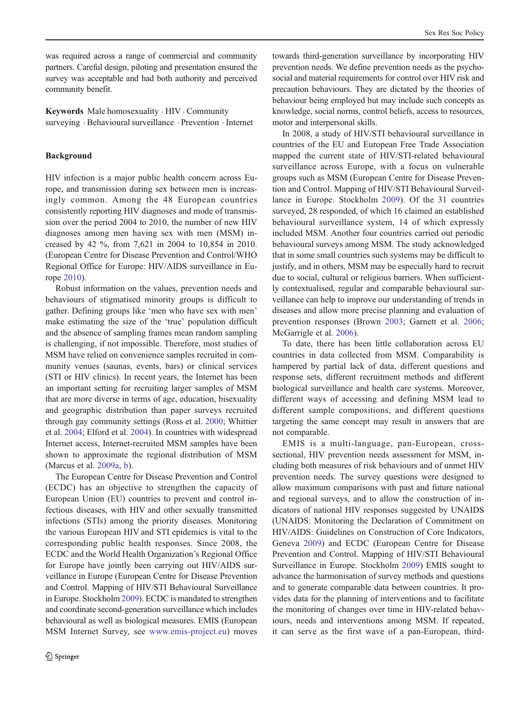was required across a range of commercial and community partners. Careful design, piloting and presentation ensured the survey was acceptable and had both authority and perceived community benefit.

Keywords Male homosexuality . HIV . Community surveying . Behavioural surveillance . Prevention . Internet

# Background

HIV infection is a major public health concern across Europe, and transmission during sex between men is increasingly common. Among the 48 European countries consistently reporting HIV diagnoses and mode of transmission over the period 2004 to 2010, the number of new HIV diagnoses among men having sex with men (MSM) increased by 42 %, from 7,621 in 2004 to 10,854 in 2010. (European Centre for Disease Prevention and Control/WHO Regional Office for Europe: HIV/AIDS surveillance in Europe [2010\)](#page-14-0).

Robust information on the values, prevention needs and behaviours of stigmatised minority groups is difficult to gather. Defining groups like 'men who have sex with men' make estimating the size of the 'true' population difficult and the absence of sampling frames mean random sampling is challenging, if not impossible. Therefore, most studies of MSM have relied on convenience samples recruited in community venues (saunas, events, bars) or clinical services (STI or HIV clinics). In recent years, the Internet has been an important setting for recruiting larger samples of MSM that are more diverse in terms of age, education, bisexuality and geographic distribution than paper surveys recruited through gay community settings (Ross et al. [2000;](#page-14-0) Whittier et al. [2004](#page-14-0); Elford et al. [2004\)](#page-14-0). In countries with widespread Internet access, Internet-recruited MSM samples have been shown to approximate the regional distribution of MSM (Marcus et al. [2009a,](#page-14-0) [b](#page-14-0)).

The European Centre for Disease Prevention and Control (ECDC) has an objective to strengthen the capacity of European Union (EU) countries to prevent and control infectious diseases, with HIV and other sexually transmitted infections (STIs) among the priority diseases. Monitoring the various European HIV and STI epidemics is vital to the corresponding public health responses. Since 2008, the ECDC and the World Health Organization's Regional Office for Europe have jointly been carrying out HIV/AIDS surveillance in Europe (European Centre for Disease Prevention and Control. Mapping of HIV/STI Behavioural Surveillance in Europe. Stockholm [2009](#page-14-0)). ECDC is mandated to strengthen and coordinate second-generation surveillance which includes behavioural as well as biological measures. EMIS (European MSM Internet Survey, see [www.emis-project.eu\)](http://www.emis-project.eu/) moves

towards third-generation surveillance by incorporating HIV prevention needs. We define prevention needs as the psychosocial and material requirements for control over HIV risk and precaution behaviours. They are dictated by the theories of behaviour being employed but may include such concepts as knowledge, social norms, control beliefs, access to resources, motor and interpersonal skills.

In 2008, a study of HIV/STI behavioural surveillance in countries of the EU and European Free Trade Association mapped the current state of HIV/STI-related behavioural surveillance across Europe, with a focus on vulnerable groups such as MSM (European Centre for Disease Prevention and Control. Mapping of HIV/STI Behavioural Surveillance in Europe. Stockholm [2009\)](#page-14-0). Of the 31 countries surveyed, 28 responded, of which 16 claimed an established behavioural surveillance system, 14 of which expressly included MSM. Another four countries carried out periodic behavioural surveys among MSM. The study acknowledged that in some small countries such systems may be difficult to justify, and in others, MSM may be especially hard to recruit due to social, cultural or religious barriers. When sufficiently contextualised, regular and comparable behavioural surveillance can help to improve our understanding of trends in diseases and allow more precise planning and evaluation of prevention responses (Brown [2003](#page-14-0); Garnett et al. [2006;](#page-14-0) McGarrigle et al. [2006\)](#page-14-0).

To date, there has been little collaboration across EU countries in data collected from MSM. Comparability is hampered by partial lack of data, different questions and response sets, different recruitment methods and different biological surveillance and health care systems. Moreover, different ways of accessing and defining MSM lead to different sample compositions, and different questions targeting the same concept may result in answers that are not comparable.

EMIS is a multi-language, pan-European, crosssectional, HIV prevention needs assessment for MSM, including both measures of risk behaviours and of unmet HIV prevention needs. The survey questions were designed to allow maximum comparisons with past and future national and regional surveys, and to allow the construction of indicators of national HIV responses suggested by UNAIDS (UNAIDS: Monitoring the Declaration of Commitment on HIV/AIDS: Guidelines on Construction of Core Indicators, Geneva [2009](#page-14-0)) and ECDC (European Centre for Disease Prevention and Control. Mapping of HIV/STI Behavioural Surveillance in Europe. Stockholm [2009](#page-14-0)) EMIS sought to advance the harmonisation of survey methods and questions and to generate comparable data between countries. It provides data for the planning of interventions and to facilitate the monitoring of changes over time in HIV-related behaviours, needs and interventions among MSM. If repeated, it can serve as the first wave of a pan-European, third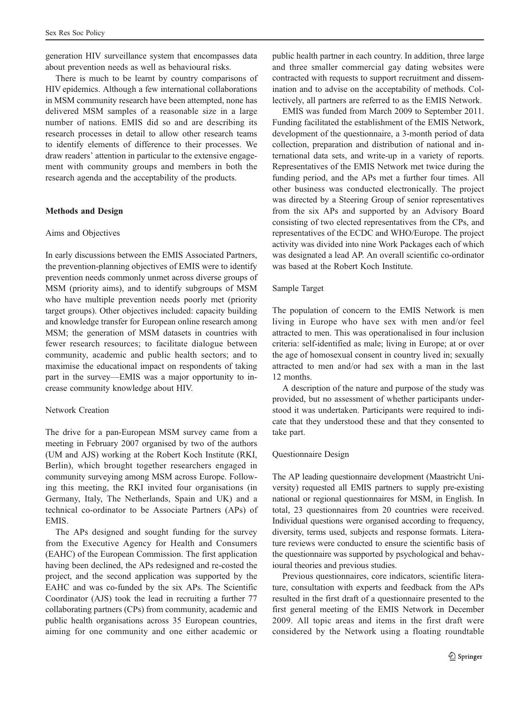generation HIV surveillance system that encompasses data about prevention needs as well as behavioural risks.

There is much to be learnt by country comparisons of HIV epidemics. Although a few international collaborations in MSM community research have been attempted, none has delivered MSM samples of a reasonable size in a large number of nations. EMIS did so and are describing its research processes in detail to allow other research teams to identify elements of difference to their processes. We draw readers' attention in particular to the extensive engagement with community groups and members in both the research agenda and the acceptability of the products.

## Methods and Design

## Aims and Objectives

In early discussions between the EMIS Associated Partners, the prevention-planning objectives of EMIS were to identify prevention needs commonly unmet across diverse groups of MSM (priority aims), and to identify subgroups of MSM who have multiple prevention needs poorly met (priority target groups). Other objectives included: capacity building and knowledge transfer for European online research among MSM; the generation of MSM datasets in countries with fewer research resources; to facilitate dialogue between community, academic and public health sectors; and to maximise the educational impact on respondents of taking part in the survey—EMIS was a major opportunity to increase community knowledge about HIV.

# Network Creation

The drive for a pan-European MSM survey came from a meeting in February 2007 organised by two of the authors (UM and AJS) working at the Robert Koch Institute (RKI, Berlin), which brought together researchers engaged in community surveying among MSM across Europe. Following this meeting, the RKI invited four organisations (in Germany, Italy, The Netherlands, Spain and UK) and a technical co-ordinator to be Associate Partners (APs) of **EMIS**.

The APs designed and sought funding for the survey from the Executive Agency for Health and Consumers (EAHC) of the European Commission. The first application having been declined, the APs redesigned and re-costed the project, and the second application was supported by the EAHC and was co-funded by the six APs. The Scientific Coordinator (AJS) took the lead in recruiting a further 77 collaborating partners (CPs) from community, academic and public health organisations across 35 European countries, aiming for one community and one either academic or

public health partner in each country. In addition, three large and three smaller commercial gay dating websites were contracted with requests to support recruitment and dissemination and to advise on the acceptability of methods. Collectively, all partners are referred to as the EMIS Network.

EMIS was funded from March 2009 to September 2011. Funding facilitated the establishment of the EMIS Network, development of the questionnaire, a 3-month period of data collection, preparation and distribution of national and international data sets, and write-up in a variety of reports. Representatives of the EMIS Network met twice during the funding period, and the APs met a further four times. All other business was conducted electronically. The project was directed by a Steering Group of senior representatives from the six APs and supported by an Advisory Board consisting of two elected representatives from the CPs, and representatives of the ECDC and WHO/Europe. The project activity was divided into nine Work Packages each of which was designated a lead AP. An overall scientific co-ordinator was based at the Robert Koch Institute.

#### Sample Target

The population of concern to the EMIS Network is men living in Europe who have sex with men and/or feel attracted to men. This was operationalised in four inclusion criteria: self-identified as male; living in Europe; at or over the age of homosexual consent in country lived in; sexually attracted to men and/or had sex with a man in the last 12 months.

A description of the nature and purpose of the study was provided, but no assessment of whether participants understood it was undertaken. Participants were required to indicate that they understood these and that they consented to take part.

## Questionnaire Design

The AP leading questionnaire development (Maastricht University) requested all EMIS partners to supply pre-existing national or regional questionnaires for MSM, in English. In total, 23 questionnaires from 20 countries were received. Individual questions were organised according to frequency, diversity, terms used, subjects and response formats. Literature reviews were conducted to ensure the scientific basis of the questionnaire was supported by psychological and behavioural theories and previous studies.

Previous questionnaires, core indicators, scientific literature, consultation with experts and feedback from the APs resulted in the first draft of a questionnaire presented to the first general meeting of the EMIS Network in December 2009. All topic areas and items in the first draft were considered by the Network using a floating roundtable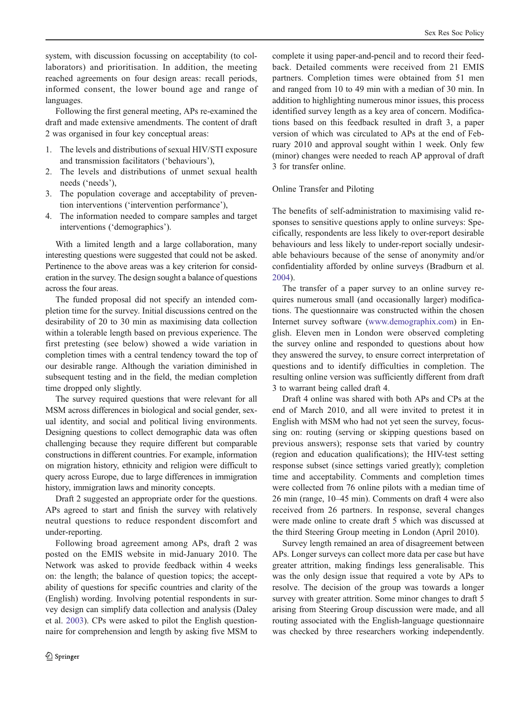system, with discussion focussing on acceptability (to collaborators) and prioritisation. In addition, the meeting reached agreements on four design areas: recall periods, informed consent, the lower bound age and range of languages.

Following the first general meeting, APs re-examined the draft and made extensive amendments. The content of draft 2 was organised in four key conceptual areas:

- 1. The levels and distributions of sexual HIV/STI exposure and transmission facilitators ('behaviours'),
- 2. The levels and distributions of unmet sexual health needs ('needs'),
- 3. The population coverage and acceptability of prevention interventions ('intervention performance'),
- 4. The information needed to compare samples and target interventions ('demographics').

With a limited length and a large collaboration, many interesting questions were suggested that could not be asked. Pertinence to the above areas was a key criterion for consideration in the survey. The design sought a balance of questions across the four areas.

The funded proposal did not specify an intended completion time for the survey. Initial discussions centred on the desirability of 20 to 30 min as maximising data collection within a tolerable length based on previous experience. The first pretesting (see below) showed a wide variation in completion times with a central tendency toward the top of our desirable range. Although the variation diminished in subsequent testing and in the field, the median completion time dropped only slightly.

The survey required questions that were relevant for all MSM across differences in biological and social gender, sexual identity, and social and political living environments. Designing questions to collect demographic data was often challenging because they require different but comparable constructions in different countries. For example, information on migration history, ethnicity and religion were difficult to query across Europe, due to large differences in immigration history, immigration laws and minority concepts.

Draft 2 suggested an appropriate order for the questions. APs agreed to start and finish the survey with relatively neutral questions to reduce respondent discomfort and under-reporting.

Following broad agreement among APs, draft 2 was posted on the EMIS website in mid-January 2010. The Network was asked to provide feedback within 4 weeks on: the length; the balance of question topics; the acceptability of questions for specific countries and clarity of the (English) wording. Involving potential respondents in survey design can simplify data collection and analysis (Daley et al. [2003](#page-14-0)). CPs were asked to pilot the English questionnaire for comprehension and length by asking five MSM to complete it using paper-and-pencil and to record their feedback. Detailed comments were received from 21 EMIS partners. Completion times were obtained from 51 men and ranged from 10 to 49 min with a median of 30 min. In addition to highlighting numerous minor issues, this process identified survey length as a key area of concern. Modifications based on this feedback resulted in draft 3, a paper version of which was circulated to APs at the end of February 2010 and approval sought within 1 week. Only few (minor) changes were needed to reach AP approval of draft 3 for transfer online.

# Online Transfer and Piloting

The benefits of self-administration to maximising valid responses to sensitive questions apply to online surveys: Specifically, respondents are less likely to over-report desirable behaviours and less likely to under-report socially undesirable behaviours because of the sense of anonymity and/or confidentiality afforded by online surveys (Bradburn et al. [2004](#page-14-0)).

The transfer of a paper survey to an online survey requires numerous small (and occasionally larger) modifications. The questionnaire was constructed within the chosen Internet survey software [\(www.demographix.com\)](http://www.demographix.com/) in English. Eleven men in London were observed completing the survey online and responded to questions about how they answered the survey, to ensure correct interpretation of questions and to identify difficulties in completion. The resulting online version was sufficiently different from draft 3 to warrant being called draft 4.

Draft 4 online was shared with both APs and CPs at the end of March 2010, and all were invited to pretest it in English with MSM who had not yet seen the survey, focussing on: routing (serving or skipping questions based on previous answers); response sets that varied by country (region and education qualifications); the HIV-test setting response subset (since settings varied greatly); completion time and acceptability. Comments and completion times were collected from 76 online pilots with a median time of 26 min (range, 10–45 min). Comments on draft 4 were also received from 26 partners. In response, several changes were made online to create draft 5 which was discussed at the third Steering Group meeting in London (April 2010).

Survey length remained an area of disagreement between APs. Longer surveys can collect more data per case but have greater attrition, making findings less generalisable. This was the only design issue that required a vote by APs to resolve. The decision of the group was towards a longer survey with greater attrition. Some minor changes to draft 5 arising from Steering Group discussion were made, and all routing associated with the English-language questionnaire was checked by three researchers working independently.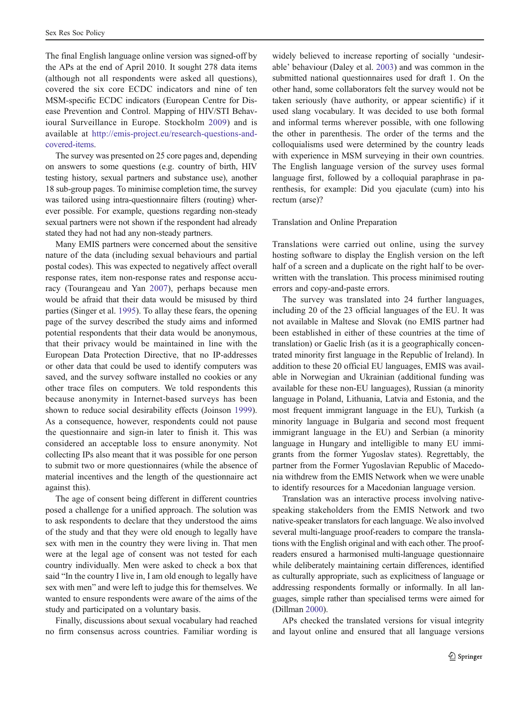The final English language online version was signed-off by the APs at the end of April 2010. It sought 278 data items (although not all respondents were asked all questions), covered the six core ECDC indicators and nine of ten MSM-specific ECDC indicators (European Centre for Disease Prevention and Control. Mapping of HIV/STI Behavioural Surveillance in Europe. Stockholm [2009](#page-14-0)) and is available at [http://emis-project.eu/research-questions-and](http://emis-project.eu/research-questions-and-covered-items)[covered-items.](http://emis-project.eu/research-questions-and-covered-items)

The survey was presented on 25 core pages and, depending on answers to some questions (e.g. country of birth, HIV testing history, sexual partners and substance use), another 18 sub-group pages. To minimise completion time, the survey was tailored using intra-questionnaire filters (routing) wherever possible. For example, questions regarding non-steady sexual partners were not shown if the respondent had already stated they had not had any non-steady partners.

Many EMIS partners were concerned about the sensitive nature of the data (including sexual behaviours and partial postal codes). This was expected to negatively affect overall response rates, item non-response rates and response accuracy (Tourangeau and Yan [2007\)](#page-14-0), perhaps because men would be afraid that their data would be misused by third parties (Singer et al. [1995\)](#page-14-0). To allay these fears, the opening page of the survey described the study aims and informed potential respondents that their data would be anonymous, that their privacy would be maintained in line with the European Data Protection Directive, that no IP-addresses or other data that could be used to identify computers was saved, and the survey software installed no cookies or any other trace files on computers. We told respondents this because anonymity in Internet-based surveys has been shown to reduce social desirability effects (Joinson [1999](#page-14-0)). As a consequence, however, respondents could not pause the questionnaire and sign-in later to finish it. This was considered an acceptable loss to ensure anonymity. Not collecting IPs also meant that it was possible for one person to submit two or more questionnaires (while the absence of material incentives and the length of the questionnaire act against this).

The age of consent being different in different countries posed a challenge for a unified approach. The solution was to ask respondents to declare that they understood the aims of the study and that they were old enough to legally have sex with men in the country they were living in. That men were at the legal age of consent was not tested for each country individually. Men were asked to check a box that said "In the country I live in, I am old enough to legally have sex with men" and were left to judge this for themselves. We wanted to ensure respondents were aware of the aims of the study and participated on a voluntary basis.

Finally, discussions about sexual vocabulary had reached no firm consensus across countries. Familiar wording is

widely believed to increase reporting of socially 'undesirable' behaviour (Daley et al. [2003\)](#page-14-0) and was common in the submitted national questionnaires used for draft 1. On the other hand, some collaborators felt the survey would not be taken seriously (have authority, or appear scientific) if it used slang vocabulary. It was decided to use both formal and informal terms wherever possible, with one following the other in parenthesis. The order of the terms and the colloquialisms used were determined by the country leads with experience in MSM surveying in their own countries. The English language version of the survey uses formal language first, followed by a colloquial paraphrase in parenthesis, for example: Did you ejaculate (cum) into his rectum (arse)?

# Translation and Online Preparation

Translations were carried out online, using the survey hosting software to display the English version on the left half of a screen and a duplicate on the right half to be overwritten with the translation. This process minimised routing errors and copy-and-paste errors.

The survey was translated into 24 further languages, including 20 of the 23 official languages of the EU. It was not available in Maltese and Slovak (no EMIS partner had been established in either of these countries at the time of translation) or Gaelic Irish (as it is a geographically concentrated minority first language in the Republic of Ireland). In addition to these 20 official EU languages, EMIS was available in Norwegian and Ukrainian (additional funding was available for these non-EU languages), Russian (a minority language in Poland, Lithuania, Latvia and Estonia, and the most frequent immigrant language in the EU), Turkish (a minority language in Bulgaria and second most frequent immigrant language in the EU) and Serbian (a minority language in Hungary and intelligible to many EU immigrants from the former Yugoslav states). Regrettably, the partner from the Former Yugoslavian Republic of Macedonia withdrew from the EMIS Network when we were unable to identify resources for a Macedonian language version.

Translation was an interactive process involving nativespeaking stakeholders from the EMIS Network and two native-speaker translators for each language. We also involved several multi-language proof-readers to compare the translations with the English original and with each other. The proofreaders ensured a harmonised multi-language questionnaire while deliberately maintaining certain differences, identified as culturally appropriate, such as explicitness of language or addressing respondents formally or informally. In all languages, simple rather than specialised terms were aimed for (Dillman [2000](#page-14-0)).

APs checked the translated versions for visual integrity and layout online and ensured that all language versions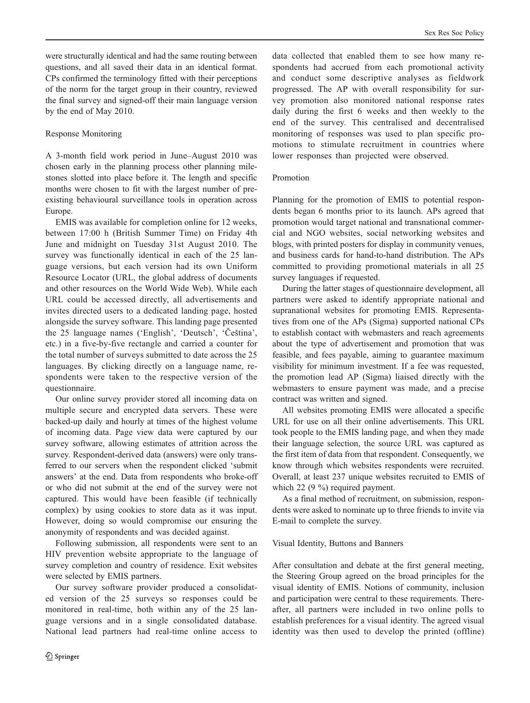were structurally identical and had the same routing between questions, and all saved their data in an identical format. CPs confirmed the terminology fitted with their perceptions of the norm for the target group in their country, reviewed the final survey and signed-off their main language version by the end of May 2010.

# Response Monitoring

A 3-month field work period in June–August 2010 was chosen early in the planning process other planning milestones slotted into place before it. The length and specific months were chosen to fit with the largest number of preexisting behavioural surveillance tools in operation across Europe.

EMIS was available for completion online for 12 weeks, between 17:00 h (British Summer Time) on Friday 4th June and midnight on Tuesday 31st August 2010. The survey was functionally identical in each of the 25 language versions, but each version had its own Uniform Resource Locator (URL, the global address of documents and other resources on the World Wide Web). While each URL could be accessed directly, all advertisements and invites directed users to a dedicated landing page, hosted alongside the survey software. This landing page presented the 25 language names ('English', 'Deutsch', 'Čeština', etc.) in a five-by-five rectangle and carried a counter for the total number of surveys submitted to date across the 25 languages. By clicking directly on a language name, respondents were taken to the respective version of the questionnaire.

Our online survey provider stored all incoming data on multiple secure and encrypted data servers. These were backed-up daily and hourly at times of the highest volume of incoming data. Page view data were captured by our survey software, allowing estimates of attrition across the survey. Respondent-derived data (answers) were only transferred to our servers when the respondent clicked 'submit answers' at the end. Data from respondents who broke-off or who did not submit at the end of the survey were not captured. This would have been feasible (if technically complex) by using cookies to store data as it was input. However, doing so would compromise our ensuring the anonymity of respondents and was decided against.

Following submission, all respondents were sent to an HIV prevention website appropriate to the language of survey completion and country of residence. Exit websites were selected by EMIS partners.

Our survey software provider produced a consolidated version of the 25 surveys so responses could be monitored in real-time, both within any of the 25 language versions and in a single consolidated database. National lead partners had real-time online access to

data collected that enabled them to see how many respondents had accrued from each promotional activity and conduct some descriptive analyses as fieldwork progressed. The AP with overall responsibility for survey promotion also monitored national response rates daily during the first 6 weeks and then weekly to the end of the survey. This centralised and decentralised monitoring of responses was used to plan specific promotions to stimulate recruitment in countries where lower responses than projected were observed.

# Promotion

Planning for the promotion of EMIS to potential respondents began 6 months prior to its launch. APs agreed that promotion would target national and transnational commercial and NGO websites, social networking websites and blogs, with printed posters for display in community venues, and business cards for hand-to-hand distribution. The APs committed to providing promotional materials in all 25 survey languages if requested.

During the latter stages of questionnaire development, all partners were asked to identify appropriate national and supranational websites for promoting EMIS. Representatives from one of the APs (Sigma) supported national CPs to establish contact with webmasters and reach agreements about the type of advertisement and promotion that was feasible, and fees payable, aiming to guarantee maximum visibility for minimum investment. If a fee was requested, the promotion lead AP (Sigma) liaised directly with the webmasters to ensure payment was made, and a precise contract was written and signed.

All websites promoting EMIS were allocated a specific URL for use on all their online advertisements. This URL took people to the EMIS landing page, and when they made their language selection, the source URL was captured as the first item of data from that respondent. Consequently, we know through which websites respondents were recruited. Overall, at least 237 unique websites recruited to EMIS of which 22 (9 %) required payment.

As a final method of recruitment, on submission, respondents were asked to nominate up to three friends to invite via E-mail to complete the survey.

#### Visual Identity, Buttons and Banners

After consultation and debate at the first general meeting, the Steering Group agreed on the broad principles for the visual identity of EMIS. Notions of community, inclusion and participation were central to these requirements. Thereafter, all partners were included in two online polls to establish preferences for a visual identity. The agreed visual identity was then used to develop the printed (offline)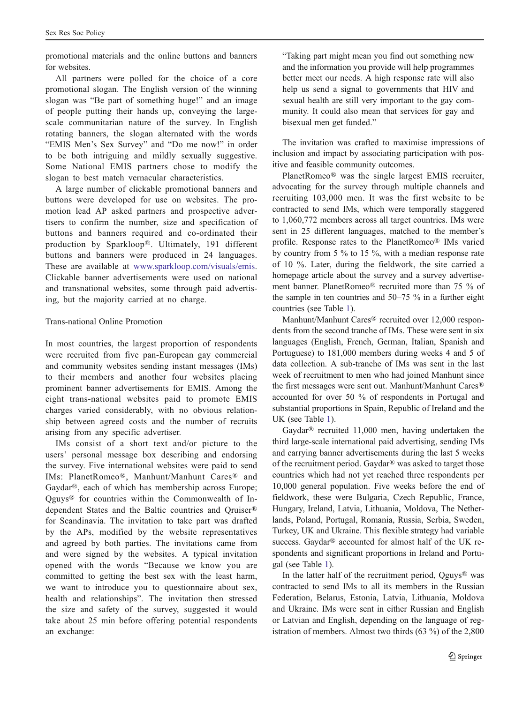promotional materials and the online buttons and banners for websites.

All partners were polled for the choice of a core promotional slogan. The English version of the winning slogan was "Be part of something huge!" and an image of people putting their hands up, conveying the largescale communitarian nature of the survey. In English rotating banners, the slogan alternated with the words "EMIS Men's Sex Survey" and "Do me now!" in order to be both intriguing and mildly sexually suggestive. Some National EMIS partners chose to modify the slogan to best match vernacular characteristics.

A large number of clickable promotional banners and buttons were developed for use on websites. The promotion lead AP asked partners and prospective advertisers to confirm the number, size and specification of buttons and banners required and co-ordinated their production by Sparkloop®. Ultimately, 191 different buttons and banners were produced in 24 languages. These are available at [www.sparkloop.com/visuals/emis.](http://www.sparkloop.com/visuals/emis) Clickable banner advertisements were used on national and transnational websites, some through paid advertising, but the majority carried at no charge.

# Trans-national Online Promotion

In most countries, the largest proportion of respondents were recruited from five pan-European gay commercial and community websites sending instant messages (IMs) to their members and another four websites placing prominent banner advertisements for EMIS. Among the eight trans-national websites paid to promote EMIS charges varied considerably, with no obvious relationship between agreed costs and the number of recruits arising from any specific advertiser.

IMs consist of a short text and/or picture to the users' personal message box describing and endorsing the survey. Five international websites were paid to send IMs: PlanetRomeo®, Manhunt/Manhunt Cares® and Gaydar®, each of which has membership across Europe; Qguys® for countries within the Commonwealth of Independent States and the Baltic countries and Qruiser® for Scandinavia. The invitation to take part was drafted by the APs, modified by the website representatives and agreed by both parties. The invitations came from and were signed by the websites. A typical invitation opened with the words "Because we know you are committed to getting the best sex with the least harm, we want to introduce you to questionnaire about sex, health and relationships". The invitation then stressed the size and safety of the survey, suggested it would take about 25 min before offering potential respondents an exchange:

"Taking part might mean you find out something new and the information you provide will help programmes better meet our needs. A high response rate will also help us send a signal to governments that HIV and sexual health are still very important to the gay community. It could also mean that services for gay and bisexual men get funded."

The invitation was crafted to maximise impressions of inclusion and impact by associating participation with positive and feasible community outcomes.

PlanetRomeo® was the single largest EMIS recruiter, advocating for the survey through multiple channels and recruiting 103,000 men. It was the first website to be contracted to send IMs, which were temporally staggered to 1,060,772 members across all target countries. IMs were sent in 25 different languages, matched to the member's profile. Response rates to the PlanetRomeo® IMs varied by country from 5 % to 15 %, with a median response rate of 10 %. Later, during the fieldwork, the site carried a homepage article about the survey and a survey advertisement banner. PlanetRomeo® recruited more than 75 % of the sample in ten countries and 50–75 % in a further eight countries (see Table [1\)](#page-7-0).

Manhunt/Manhunt Cares® recruited over 12,000 respondents from the second tranche of IMs. These were sent in six languages (English, French, German, Italian, Spanish and Portuguese) to 181,000 members during weeks 4 and 5 of data collection. A sub-tranche of IMs was sent in the last week of recruitment to men who had joined Manhunt since the first messages were sent out. Manhunt/Manhunt Cares® accounted for over 50 % of respondents in Portugal and substantial proportions in Spain, Republic of Ireland and the UK (see Table [1](#page-7-0)).

Gaydar® recruited 11,000 men, having undertaken the third large-scale international paid advertising, sending IMs and carrying banner advertisements during the last 5 weeks of the recruitment period. Gaydar® was asked to target those countries which had not yet reached three respondents per 10,000 general population. Five weeks before the end of fieldwork, these were Bulgaria, Czech Republic, France, Hungary, Ireland, Latvia, Lithuania, Moldova, The Netherlands, Poland, Portugal, Romania, Russia, Serbia, Sweden, Turkey, UK and Ukraine. This flexible strategy had variable success. Gaydar® accounted for almost half of the UK respondents and significant proportions in Ireland and Portugal (see Table [1\)](#page-7-0).

In the latter half of the recruitment period,  $Qguys^{\circledR}$  was contracted to send IMs to all its members in the Russian Federation, Belarus, Estonia, Latvia, Lithuania, Moldova and Ukraine. IMs were sent in either Russian and English or Latvian and English, depending on the language of registration of members. Almost two thirds (63 %) of the 2,800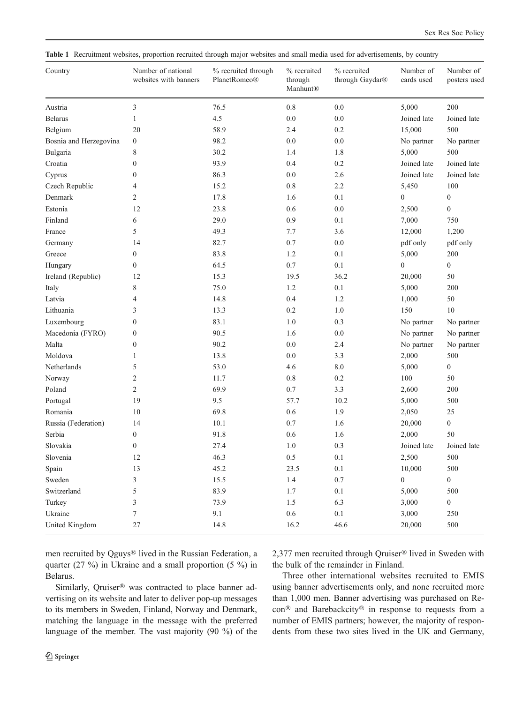<span id="page-7-0"></span>Table 1 Recruitment websites, proportion recruited through major websites and small media used for advertisements, by country

| Country                | Number of national<br>websites with banners | % recruited through<br>PlanetRomeo® | % recruited<br>through<br>Manhunt® | % recruited<br>through Gaydar® | Number of<br>cards used | Number of<br>posters used |
|------------------------|---------------------------------------------|-------------------------------------|------------------------------------|--------------------------------|-------------------------|---------------------------|
| Austria                | 3                                           | 76.5                                | $0.8\,$                            | $0.0\,$                        | 5,000                   | 200                       |
| <b>Belarus</b>         | $\mathbf{1}$                                | 4.5                                 | 0.0                                | 0.0                            | Joined late             | Joined late               |
| Belgium                | 20                                          | 58.9                                | 2.4                                | 0.2                            | 15,000                  | 500                       |
| Bosnia and Herzegovina | $\boldsymbol{0}$                            | 98.2                                | 0.0                                | $0.0\,$                        | No partner              | No partner                |
| Bulgaria               | 8                                           | 30.2                                | 1.4                                | 1.8                            | 5,000                   | 500                       |
| Croatia                | $\boldsymbol{0}$                            | 93.9                                | 0.4                                | 0.2                            | Joined late             | Joined late               |
| Cyprus                 | $\mathbf{0}$                                | 86.3                                | 0.0                                | 2.6                            | Joined late             | Joined late               |
| Czech Republic         | 4                                           | 15.2                                | $0.8\,$                            | 2.2                            | 5,450                   | 100                       |
| Denmark                | 2                                           | 17.8                                | 1.6                                | 0.1                            | $\mathbf{0}$            | $\boldsymbol{0}$          |
| Estonia                | 12                                          | 23.8                                | 0.6                                | 0.0                            | 2,500                   | $\boldsymbol{0}$          |
| Finland                | 6                                           | 29.0                                | 0.9                                | 0.1                            | 7,000                   | 750                       |
| France                 | 5                                           | 49.3                                | 7.7                                | 3.6                            | 12,000                  | 1,200                     |
| Germany                | 14                                          | 82.7                                | 0.7                                | 0.0                            | pdf only                | pdf only                  |
| Greece                 | $\boldsymbol{0}$                            | 83.8                                | 1.2                                | 0.1                            | 5,000                   | 200                       |
| Hungary                | $\boldsymbol{0}$                            | 64.5                                | 0.7                                | 0.1                            | $\boldsymbol{0}$        | $\boldsymbol{0}$          |
| Ireland (Republic)     | 12                                          | 15.3                                | 19.5                               | 36.2                           | 20,000                  | 50                        |
| Italy                  | 8                                           | 75.0                                | $1.2\,$                            | 0.1                            | 5,000                   | 200                       |
| Latvia                 | 4                                           | 14.8                                | 0.4                                | 1.2                            | 1,000                   | 50                        |
| Lithuania              | 3                                           | 13.3                                | 0.2                                | 1.0                            | 150                     | $10\,$                    |
| Luxembourg             | $\boldsymbol{0}$                            | 83.1                                | 1.0                                | 0.3                            | No partner              | No partner                |
| Macedonia (FYRO)       | $\boldsymbol{0}$                            | 90.5                                | 1.6                                | $0.0\,$                        | No partner              | No partner                |
| Malta                  | $\boldsymbol{0}$                            | 90.2                                | $0.0\,$                            | 2.4                            | No partner              | No partner                |
| Moldova                | 1                                           | 13.8                                | 0.0                                | 3.3                            | 2,000                   | 500                       |
| Netherlands            | 5                                           | 53.0                                | 4.6                                | 8.0                            | 5,000                   | $\boldsymbol{0}$          |
| Norway                 | $\overline{c}$                              | 11.7                                | $0.8\,$                            | 0.2                            | 100                     | 50                        |
| Poland                 | 2                                           | 69.9                                | 0.7                                | 3.3                            | 2,600                   | 200                       |
| Portugal               | 19                                          | 9.5                                 | 57.7                               | 10.2                           | 5,000                   | 500                       |
| Romania                | 10                                          | 69.8                                | 0.6                                | 1.9                            | 2,050                   | 25                        |
| Russia (Federation)    | 14                                          | 10.1                                | 0.7                                | 1.6                            | 20,000                  | $\boldsymbol{0}$          |
| Serbia                 | $\boldsymbol{0}$                            | 91.8                                | 0.6                                | 1.6                            | 2,000                   | 50                        |
| Slovakia               | $\boldsymbol{0}$                            | 27.4                                | 1.0                                | 0.3                            | Joined late             | Joined late               |
| Slovenia               | 12                                          | 46.3                                | 0.5                                | 0.1                            | 2,500                   | 500                       |
| Spain                  | 13                                          | 45.2                                | 23.5                               | 0.1                            | 10,000                  | 500                       |
| Sweden                 | 3                                           | 15.5                                | 1.4                                | 0.7                            | $\overline{0}$          | $\boldsymbol{0}$          |
| Switzerland            | 5                                           | 83.9                                | 1.7                                | $0.1\,$                        | 5,000                   | 500                       |
| Turkey                 | 3                                           | 73.9                                | 1.5                                | 6.3                            | 3,000                   | $\boldsymbol{0}$          |
| Ukraine                | 7                                           | 9.1                                 | 0.6                                | $0.1\,$                        | 3,000                   | 250                       |
| United Kingdom         | 27                                          | 14.8                                | 16.2                               | 46.6                           | 20,000                  | 500                       |

men recruited by Qguys® lived in the Russian Federation, a quarter (27 %) in Ukraine and a small proportion (5 %) in Belarus.

Similarly, Qruiser® was contracted to place banner advertising on its website and later to deliver pop-up messages to its members in Sweden, Finland, Norway and Denmark, matching the language in the message with the preferred language of the member. The vast majority (90 %) of the 2,377 men recruited through Qruiser® lived in Sweden with the bulk of the remainder in Finland.

Three other international websites recruited to EMIS using banner advertisements only, and none recruited more than 1,000 men. Banner advertising was purchased on Recon® and Barebackcity® in response to requests from a number of EMIS partners; however, the majority of respondents from these two sites lived in the UK and Germany,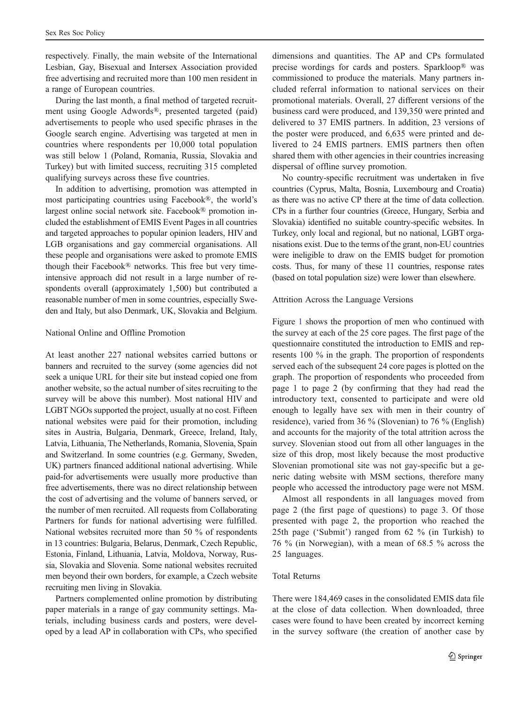respectively. Finally, the main website of the International Lesbian, Gay, Bisexual and Intersex Association provided free advertising and recruited more than 100 men resident in a range of European countries.

During the last month, a final method of targeted recruitment using Google Adwords®, presented targeted (paid) advertisements to people who used specific phrases in the Google search engine. Advertising was targeted at men in countries where respondents per 10,000 total population was still below 1 (Poland, Romania, Russia, Slovakia and Turkey) but with limited success, recruiting 315 completed qualifying surveys across these five countries.

In addition to advertising, promotion was attempted in most participating countries using Facebook®, the world's largest online social network site. Facebook® promotion included the establishment of EMIS Event Pages in all countries and targeted approaches to popular opinion leaders, HIV and LGB organisations and gay commercial organisations. All these people and organisations were asked to promote EMIS though their Facebook® networks. This free but very timeintensive approach did not result in a large number of respondents overall (approximately 1,500) but contributed a reasonable number of men in some countries, especially Sweden and Italy, but also Denmark, UK, Slovakia and Belgium.

## National Online and Offline Promotion

At least another 227 national websites carried buttons or banners and recruited to the survey (some agencies did not seek a unique URL for their site but instead copied one from another website, so the actual number of sites recruiting to the survey will be above this number). Most national HIV and LGBT NGOs supported the project, usually at no cost. Fifteen national websites were paid for their promotion, including sites in Austria, Bulgaria, Denmark, Greece, Ireland, Italy, Latvia, Lithuania, The Netherlands, Romania, Slovenia, Spain and Switzerland. In some countries (e.g. Germany, Sweden, UK) partners financed additional national advertising. While paid-for advertisements were usually more productive than free advertisements, there was no direct relationship between the cost of advertising and the volume of banners served, or the number of men recruited. All requests from Collaborating Partners for funds for national advertising were fulfilled. National websites recruited more than 50 % of respondents in 13 countries: Bulgaria, Belarus, Denmark, Czech Republic, Estonia, Finland, Lithuania, Latvia, Moldova, Norway, Russia, Slovakia and Slovenia. Some national websites recruited men beyond their own borders, for example, a Czech website recruiting men living in Slovakia.

Partners complemented online promotion by distributing paper materials in a range of gay community settings. Materials, including business cards and posters, were developed by a lead AP in collaboration with CPs, who specified

dimensions and quantities. The AP and CPs formulated precise wordings for cards and posters. Sparkloop® was commissioned to produce the materials. Many partners included referral information to national services on their promotional materials. Overall, 27 different versions of the business card were produced, and 139,350 were printed and delivered to 37 EMIS partners. In addition, 23 versions of the poster were produced, and 6,635 were printed and delivered to 24 EMIS partners. EMIS partners then often shared them with other agencies in their countries increasing dispersal of offline survey promotion.

No country-specific recruitment was undertaken in five countries (Cyprus, Malta, Bosnia, Luxembourg and Croatia) as there was no active CP there at the time of data collection. CPs in a further four countries (Greece, Hungary, Serbia and Slovakia) identified no suitable country-specific websites. In Turkey, only local and regional, but no national, LGBT organisations exist. Due to the terms of the grant, non-EU countries were ineligible to draw on the EMIS budget for promotion costs. Thus, for many of these 11 countries, response rates (based on total population size) were lower than elsewhere.

# Attrition Across the Language Versions

Figure [1](#page-9-0) shows the proportion of men who continued with the survey at each of the 25 core pages. The first page of the questionnaire constituted the introduction to EMIS and represents 100 % in the graph. The proportion of respondents served each of the subsequent 24 core pages is plotted on the graph. The proportion of respondents who proceeded from page 1 to page 2 (by confirming that they had read the introductory text, consented to participate and were old enough to legally have sex with men in their country of residence), varied from 36 % (Slovenian) to 76 % (English) and accounts for the majority of the total attrition across the survey. Slovenian stood out from all other languages in the size of this drop, most likely because the most productive Slovenian promotional site was not gay-specific but a generic dating website with MSM sections, therefore many people who accessed the introductory page were not MSM.

Almost all respondents in all languages moved from page 2 (the first page of questions) to page 3. Of those presented with page 2, the proportion who reached the 25th page ('Submit') ranged from 62 % (in Turkish) to 76 % (in Norwegian), with a mean of 68.5 % across the 25 languages.

# Total Returns

There were 184,469 cases in the consolidated EMIS data file at the close of data collection. When downloaded, three cases were found to have been created by incorrect kerning in the survey software (the creation of another case by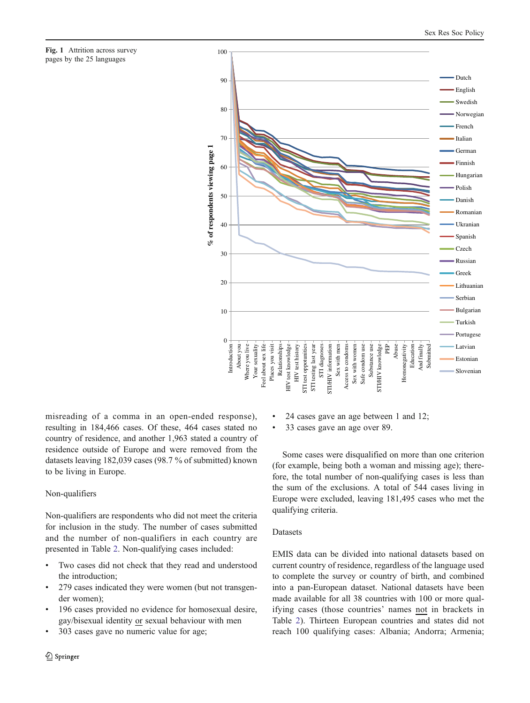<span id="page-9-0"></span>Fig. 1 Attrition across survey pages by the 25 languages



misreading of a comma in an open-ended response), resulting in 184,466 cases. Of these, 464 cases stated no country of residence, and another 1,963 stated a country of residence outside of Europe and were removed from the datasets leaving 182,039 cases (98.7 % of submitted) known to be living in Europe.

# Non-qualifiers

Non-qualifiers are respondents who did not meet the criteria for inclusion in the study. The number of cases submitted and the number of non-qualifiers in each country are presented in Table [2](#page-10-0). Non-qualifying cases included:

- Two cases did not check that they read and understood the introduction;
- 279 cases indicated they were women (but not transgender women);
- 196 cases provided no evidence for homosexual desire, gay/bisexual identity or sexual behaviour with men
- & 303 cases gave no numeric value for age;
- 2 Springer
- & 24 cases gave an age between 1 and 12;
- & 33 cases gave an age over 89.

Some cases were disqualified on more than one criterion (for example, being both a woman and missing age); therefore, the total number of non-qualifying cases is less than the sum of the exclusions. A total of 544 cases living in Europe were excluded, leaving 181,495 cases who met the qualifying criteria.

# Datasets

EMIS data can be divided into national datasets based on current country of residence, regardless of the language used to complete the survey or country of birth, and combined into a pan-European dataset. National datasets have been made available for all 38 countries with 100 or more qualifying cases (those countries' names not in brackets in Table [2\)](#page-10-0). Thirteen European countries and states did not reach 100 qualifying cases: Albania; Andorra; Armenia;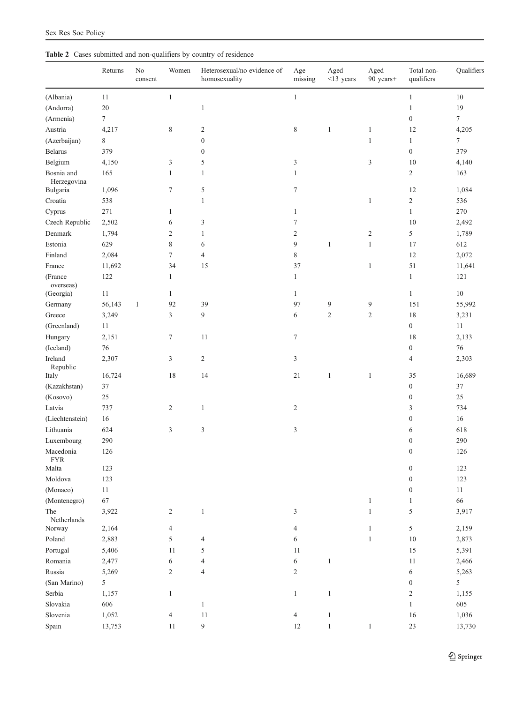<span id="page-10-0"></span>

|  |  | <b>Table 2</b> Cases submitted and non-qualifiers by country of residence |  |  |
|--|--|---------------------------------------------------------------------------|--|--|
|  |  |                                                                           |  |  |

|                           | Returns          | $\rm No$<br>consent | Women            | Heterosexual/no evidence of<br>homosexuality | Age<br>missing | Aged<br>$<$ 13 years | Aged<br>90 years+            | Total non-<br>qualifiers | Qualifiers       |
|---------------------------|------------------|---------------------|------------------|----------------------------------------------|----------------|----------------------|------------------------------|--------------------------|------------------|
| (Albania)                 | 11               |                     | $\mathbf{1}$     |                                              | $\mathbf{1}$   |                      |                              | $\mathbf{1}$             | 10               |
| (Andorra)                 | 20               |                     |                  | $\mathbf{1}$                                 |                |                      |                              | $\mathbf{1}$             | 19               |
| (Armenia)                 | $\boldsymbol{7}$ |                     |                  |                                              |                |                      |                              | $\boldsymbol{0}$         | $\boldsymbol{7}$ |
| Austria                   | 4,217            |                     | $\,$ 8 $\,$      | $\mathfrak{2}$                               | $\,$ 8 $\,$    | $\mathbf{1}$         | $\mathbf{1}$                 | 12                       | 4,205            |
| (Azerbaijan)              | 8                |                     |                  | $\boldsymbol{0}$                             |                |                      | $\mathbf{1}$                 | $\mathbf{1}$             | $\boldsymbol{7}$ |
| <b>Belarus</b>            | 379              |                     |                  | $\boldsymbol{0}$                             |                |                      |                              | $\boldsymbol{0}$         | 379              |
| Belgium                   | 4,150            |                     | 3                | 5                                            | 3              |                      | 3                            | 10                       | 4,140            |
| Bosnia and<br>Herzegovina | 165              |                     | $\mathbf{1}$     | $\mathbf{1}$                                 | $\mathbf{1}$   |                      |                              | $\sqrt{2}$               | 163              |
| Bulgaria                  | 1,096            |                     | $\tau$           | 5                                            | 7              |                      |                              | 12                       | 1,084            |
| Croatia                   | 538              |                     |                  | $\mathbf{1}$                                 |                |                      | $\mathbf{1}$                 | $\sqrt{2}$               | 536              |
| Cyprus                    | $271\,$          |                     | $\mathbf{1}$     |                                              | $\mathbf{1}$   |                      |                              | $\mathbf{1}$             | 270              |
| Czech Republic            | 2,502            |                     | 6                | 3                                            | 7              |                      |                              | 10                       | 2,492            |
| Denmark                   | 1,794            |                     | $\sqrt{2}$       | $\mathbf{1}$                                 | $\sqrt{2}$     |                      | $\overline{c}$               | 5                        | 1,789            |
| Estonia                   | 629              |                     | $\,$ 8 $\,$      | 6                                            | $\overline{9}$ | $\mathbf{1}$         | $\mathbf{1}$                 | 17                       | 612              |
| Finland                   | 2,084            |                     | $\boldsymbol{7}$ | $\overline{4}$                               | $\,$ 8 $\,$    |                      |                              | 12                       | 2,072            |
| France                    | 11,692           |                     | 34               | 15                                           | 37             |                      | $\mathbf{1}$                 | $51\,$                   | 11,641           |
| (France<br>overseas)      | 122              |                     | $\mathbf{1}$     |                                              | $\mathbf{1}$   |                      |                              | $\mathbf{1}$             | 121              |
| (Georgia)                 | 11               |                     | $\mathbf{1}$     |                                              | $\mathbf{1}$   |                      |                              | $\mathbf{1}$             | $10\,$           |
| Germany                   | 56,143           | $\mathbf{1}$        | 92               | 39                                           | 97             | 9                    | 9                            | 151                      | 55,992           |
| Greece                    | 3,249            |                     | 3                | 9                                            | 6              | $\boldsymbol{2}$     | $\boldsymbol{2}$             | 18                       | 3,231            |
| (Greenland)               | 11               |                     |                  |                                              |                |                      |                              | $\boldsymbol{0}$         | 11               |
| Hungary                   | 2,151            |                     | $\tau$           | 11                                           | $\tau$         |                      |                              | 18                       | 2,133            |
| (Iceland)                 | $76\,$           |                     |                  |                                              |                |                      |                              | $\boldsymbol{0}$         | 76               |
| Ireland<br>Republic       | 2,307            |                     | 3                | $\mathbf{2}$                                 | 3              |                      |                              | $\overline{4}$           | 2,303            |
| Italy                     | 16,724           |                     | 18               | 14                                           | 21             | $\mathbf{1}$         | $\mathbf{1}$                 | 35                       | 16,689           |
| (Kazakhstan)              | 37               |                     |                  |                                              |                |                      |                              | $\boldsymbol{0}$         | 37               |
| (Kosovo)                  | 25               |                     |                  |                                              |                |                      |                              | $\boldsymbol{0}$         | 25               |
| Latvia                    | 737              |                     | $\overline{2}$   | $\mathbf{1}$                                 | $\overline{2}$ |                      |                              | 3                        | 734              |
| (Liechtenstein)           | $16\,$           |                     |                  |                                              |                |                      |                              | $\boldsymbol{0}$         | 16               |
| Lithuania                 | 624              |                     | $\mathfrak{Z}$   | $\mathfrak{Z}$                               | 3              |                      |                              | 6                        | 618              |
| Luxembourg                | 290              |                     |                  |                                              |                |                      |                              | $\boldsymbol{0}$         | 290              |
| Macedonia<br><b>FYR</b>   | 126              |                     |                  |                                              |                |                      |                              | $\boldsymbol{0}$         | 126              |
| Malta                     | 123              |                     |                  |                                              |                |                      |                              | $\boldsymbol{0}$         | 123              |
| Moldova                   | 123              |                     |                  |                                              |                |                      |                              | $\boldsymbol{0}$         | 123              |
| (Monaco)                  | $11\,$           |                     |                  |                                              |                |                      |                              | $\boldsymbol{0}$         | $11\,$           |
| (Montenegro)<br>The       | 67<br>3,922      |                     | $\mathbf{2}$     | $\mathbf{1}$                                 | 3              |                      | $\mathbf{1}$<br>$\mathbf{1}$ | $\mathbf{1}$<br>5        | 66<br>3,917      |
| Netherlands<br>Norway     | 2,164            |                     | 4                |                                              | 4              |                      | $\mathbf{1}$                 | $\sqrt{5}$               | 2,159            |
| Poland                    | 2,883            |                     | $\mathfrak s$    | 4                                            | 6              |                      | $\mathbf{1}$                 | 10                       | 2,873            |
| Portugal                  | 5,406            |                     | 11               | 5                                            | 11             |                      |                              | 15                       | 5,391            |
| Romania                   | 2,477            |                     | 6                | $\overline{4}$                               | 6              | $\mathbf{1}$         |                              | 11                       | 2,466            |
| Russia                    | 5,269            |                     | $\sqrt{2}$       | $\overline{4}$                               | $\sqrt{2}$     |                      |                              | 6                        | 5,263            |
| (San Marino)              | 5                |                     |                  |                                              |                |                      |                              | $\boldsymbol{0}$         | $\mathfrak{S}$   |
| Serbia                    | 1,157            |                     | $\mathbf{1}$     |                                              | $\mathbf{1}$   | $\mathbf{1}$         |                              | $\sqrt{2}$               | 1,155            |
| Slovakia                  | 606              |                     |                  | $\mathbf{1}$                                 |                |                      |                              | $\mathbf{1}$             | 605              |
| Slovenia                  | 1,052            |                     | $\overline{4}$   | 11                                           | $\overline{4}$ | $\mathbf{1}$         |                              | 16                       | 1,036            |
| Spain                     | 13,753           |                     | 11               | $\overline{9}$                               | 12             | $\mathbf{1}$         | $\mathbf{1}$                 | $23\,$                   | 13,730           |
|                           |                  |                     |                  |                                              |                |                      |                              |                          |                  |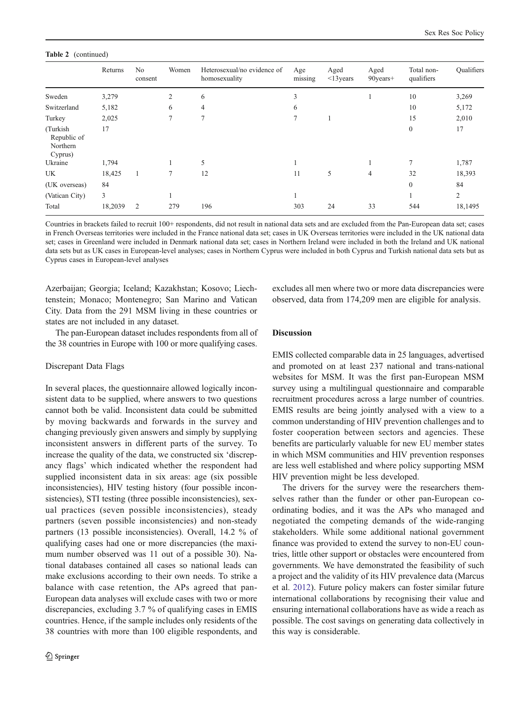#### Table 2 (continued)

|                                                 | Returns | N <sub>0</sub><br>consent | Women          | Heterosexual/no evidence of<br>homosexuality | Age<br>missing | Aged<br>$\leq$ 13 years | Aged<br>90years+ | Total non-<br>qualifiers | <b>Qualifiers</b> |
|-------------------------------------------------|---------|---------------------------|----------------|----------------------------------------------|----------------|-------------------------|------------------|--------------------------|-------------------|
| Sweden                                          | 3,279   |                           | $\overline{2}$ | 6                                            | 3              |                         |                  | 10                       | 3,269             |
| Switzerland                                     | 5,182   |                           | 6              | $\overline{4}$                               | 6              |                         |                  | 10                       | 5,172             |
| Turkey                                          | 2,025   |                           | 7              | 7                                            | 7              |                         |                  | 15                       | 2,010             |
| (Turkish)<br>Republic of<br>Northern<br>Cyprus) | 17      |                           |                |                                              |                |                         |                  | $\mathbf{0}$             | 17                |
| Ukraine                                         | 1,794   |                           |                | 5                                            |                |                         |                  | 7                        | 1,787             |
| UK                                              | 18,425  |                           | 7              | 12                                           | 11             | 5                       | $\overline{4}$   | 32                       | 18,393            |
| (UK overseas)                                   | 84      |                           |                |                                              |                |                         |                  | $\mathbf{0}$             | 84                |
| (Vatican City)                                  | 3       |                           |                |                                              |                |                         |                  |                          | $\overline{2}$    |
| Total                                           | 18,2039 | 2                         | 279            | 196                                          | 303            | 24                      | 33               | 544                      | 18,1495           |

Countries in brackets failed to recruit 100+ respondents, did not result in national data sets and are excluded from the Pan-European data set; cases in French Overseas territories were included in the France national data set; cases in UK Overseas territories were included in the UK national data set; cases in Greenland were included in Denmark national data set; cases in Northern Ireland were included in both the Ireland and UK national data sets but as UK cases in European-level analyses; cases in Northern Cyprus were included in both Cyprus and Turkish national data sets but as Cyprus cases in European-level analyses

Azerbaijan; Georgia; Iceland; Kazakhstan; Kosovo; Liechtenstein; Monaco; Montenegro; San Marino and Vatican City. Data from the 291 MSM living in these countries or states are not included in any dataset.

The pan-European dataset includes respondents from all of the 38 countries in Europe with 100 or more qualifying cases.

#### Discrepant Data Flags

In several places, the questionnaire allowed logically inconsistent data to be supplied, where answers to two questions cannot both be valid. Inconsistent data could be submitted by moving backwards and forwards in the survey and changing previously given answers and simply by supplying inconsistent answers in different parts of the survey. To increase the quality of the data, we constructed six 'discrepancy flags' which indicated whether the respondent had supplied inconsistent data in six areas: age (six possible inconsistencies), HIV testing history (four possible inconsistencies), STI testing (three possible inconsistencies), sexual practices (seven possible inconsistencies), steady partners (seven possible inconsistencies) and non-steady partners (13 possible inconsistencies). Overall, 14.2 % of qualifying cases had one or more discrepancies (the maximum number observed was 11 out of a possible 30). National databases contained all cases so national leads can make exclusions according to their own needs. To strike a balance with case retention, the APs agreed that pan-European data analyses will exclude cases with two or more discrepancies, excluding 3.7 % of qualifying cases in EMIS countries. Hence, if the sample includes only residents of the 38 countries with more than 100 eligible respondents, and

excludes all men where two or more data discrepancies were observed, data from 174,209 men are eligible for analysis.

# Discussion

EMIS collected comparable data in 25 languages, advertised and promoted on at least 237 national and trans-national websites for MSM. It was the first pan-European MSM survey using a multilingual questionnaire and comparable recruitment procedures across a large number of countries. EMIS results are being jointly analysed with a view to a common understanding of HIV prevention challenges and to foster cooperation between sectors and agencies. These benefits are particularly valuable for new EU member states in which MSM communities and HIV prevention responses are less well established and where policy supporting MSM HIV prevention might be less developed.

The drivers for the survey were the researchers themselves rather than the funder or other pan-European coordinating bodies, and it was the APs who managed and negotiated the competing demands of the wide-ranging stakeholders. While some additional national government finance was provided to extend the survey to non-EU countries, little other support or obstacles were encountered from governments. We have demonstrated the feasibility of such a project and the validity of its HIV prevalence data (Marcus et al. [2012](#page-14-0)). Future policy makers can foster similar future international collaborations by recognising their value and ensuring international collaborations have as wide a reach as possible. The cost savings on generating data collectively in this way is considerable.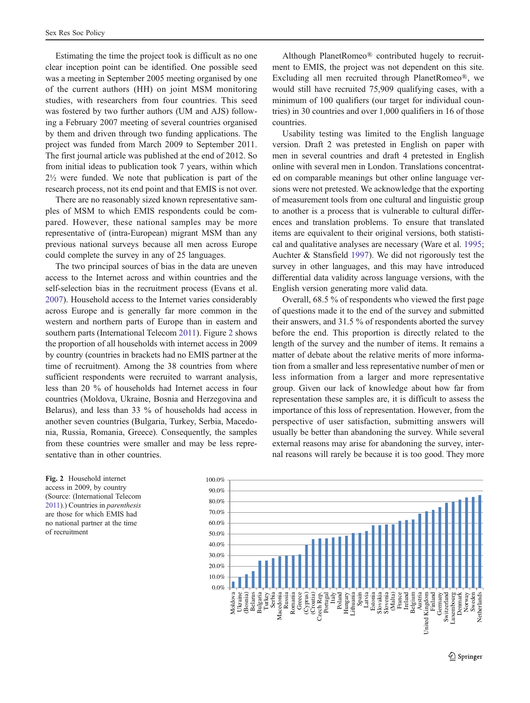<span id="page-12-0"></span>Estimating the time the project took is difficult as no one clear inception point can be identified. One possible seed was a meeting in September 2005 meeting organised by one of the current authors (HH) on joint MSM monitoring studies, with researchers from four countries. This seed was fostered by two further authors (UM and AJS) following a February 2007 meeting of several countries organised by them and driven through two funding applications. The project was funded from March 2009 to September 2011. The first journal article was published at the end of 2012. So from initial ideas to publication took 7 years, within which 2½ were funded. We note that publication is part of the research process, not its end point and that EMIS is not over.

There are no reasonably sized known representative samples of MSM to which EMIS respondents could be compared. However, these national samples may be more representative of (intra-European) migrant MSM than any previous national surveys because all men across Europe could complete the survey in any of 25 languages.

The two principal sources of bias in the data are uneven access to the Internet across and within countries and the self-selection bias in the recruitment process (Evans et al. [2007\)](#page-14-0). Household access to the Internet varies considerably across Europe and is generally far more common in the western and northern parts of Europe than in eastern and southern parts (International Telecom [2011\)](#page-14-0). Figure 2 shows the proportion of all households with internet access in 2009 by country (countries in brackets had no EMIS partner at the time of recruitment). Among the 38 countries from where sufficient respondents were recruited to warrant analysis, less than 20 % of households had Internet access in four countries (Moldova, Ukraine, Bosnia and Herzegovina and Belarus), and less than 33 % of households had access in another seven countries (Bulgaria, Turkey, Serbia, Macedonia, Russia, Romania, Greece). Consequently, the samples from these countries were smaller and may be less representative than in other countries.

Although PlanetRomeo® contributed hugely to recruitment to EMIS, the project was not dependent on this site. Excluding all men recruited through PlanetRomeo®, we would still have recruited 75,909 qualifying cases, with a minimum of 100 qualifiers (our target for individual countries) in 30 countries and over 1,000 qualifiers in 16 of those countries.

Usability testing was limited to the English language version. Draft 2 was pretested in English on paper with men in several countries and draft 4 pretested in English online with several men in London. Translations concentrated on comparable meanings but other online language versions were not pretested. We acknowledge that the exporting of measurement tools from one cultural and linguistic group to another is a process that is vulnerable to cultural differences and translation problems. To ensure that translated items are equivalent to their original versions, both statistical and qualitative analyses are necessary (Ware et al. [1995;](#page-14-0) Auchter & Stansfield [1997\)](#page-14-0). We did not rigorously test the survey in other languages, and this may have introduced differential data validity across language versions, with the English version generating more valid data.

Overall, 68.5 % of respondents who viewed the first page of questions made it to the end of the survey and submitted their answers, and 31.5 % of respondents aborted the survey before the end. This proportion is directly related to the length of the survey and the number of items. It remains a matter of debate about the relative merits of more information from a smaller and less representative number of men or less information from a larger and more representative group. Given our lack of knowledge about how far from representation these samples are, it is difficult to assess the importance of this loss of representation. However, from the perspective of user satisfaction, submitting answers will usually be better than abandoning the survey. While several external reasons may arise for abandoning the survey, internal reasons will rarely be because it is too good. They more

Fig. 2 Household internet access in 2009, by country (Source: (International Telecom [2011\)](#page-14-0).) Countries in parenthesis are those for which EMIS had no national partner at the time of recruitment

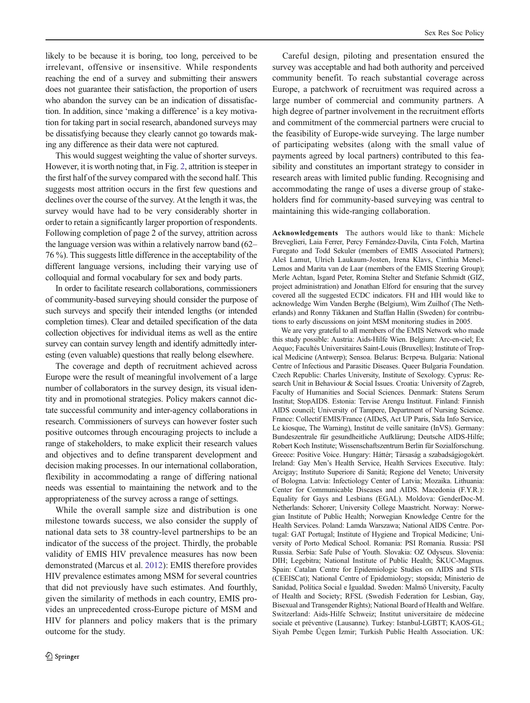likely to be because it is boring, too long, perceived to be irrelevant, offensive or insensitive. While respondents reaching the end of a survey and submitting their answers does not guarantee their satisfaction, the proportion of users who abandon the survey can be an indication of dissatisfaction. In addition, since 'making a difference' is a key motivation for taking part in social research, abandoned surveys may be dissatisfying because they clearly cannot go towards making any difference as their data were not captured.

This would suggest weighting the value of shorter surveys. However, it is worth noting that, in Fig. [2,](#page-12-0) attrition is steeper in the first half of the survey compared with the second half. This suggests most attrition occurs in the first few questions and declines over the course of the survey. At the length it was, the survey would have had to be very considerably shorter in order to retain a significantly larger proportion of respondents. Following completion of page 2 of the survey, attrition across the language version was within a relatively narrow band (62– 76 %). This suggests little difference in the acceptability of the different language versions, including their varying use of colloquial and formal vocabulary for sex and body parts.

In order to facilitate research collaborations, commissioners of community-based surveying should consider the purpose of such surveys and specify their intended lengths (or intended completion times). Clear and detailed specification of the data collection objectives for individual items as well as the entire survey can contain survey length and identify admittedly interesting (even valuable) questions that really belong elsewhere.

The coverage and depth of recruitment achieved across Europe were the result of meaningful involvement of a large number of collaborators in the survey design, its visual identity and in promotional strategies. Policy makers cannot dictate successful community and inter-agency collaborations in research. Commissioners of surveys can however foster such positive outcomes through encouraging projects to include a range of stakeholders, to make explicit their research values and objectives and to define transparent development and decision making processes. In our international collaboration, flexibility in accommodating a range of differing national needs was essential to maintaining the network and to the appropriateness of the survey across a range of settings.

While the overall sample size and distribution is one milestone towards success, we also consider the supply of national data sets to 38 country-level partnerships to be an indicator of the success of the project. Thirdly, the probable validity of EMIS HIV prevalence measures has now been demonstrated (Marcus et al. [2012](#page-14-0)): EMIS therefore provides HIV prevalence estimates among MSM for several countries that did not previously have such estimates. And fourthly, given the similarity of methods in each country, EMIS provides an unprecedented cross-Europe picture of MSM and HIV for planners and policy makers that is the primary outcome for the study.

Careful design, piloting and presentation ensured the survey was acceptable and had both authority and perceived community benefit. To reach substantial coverage across Europe, a patchwork of recruitment was required across a large number of commercial and community partners. A high degree of partner involvement in the recruitment efforts and commitment of the commercial partners were crucial to the feasibility of Europe-wide surveying. The large number of participating websites (along with the small value of payments agreed by local partners) contributed to this feasibility and constitutes an important strategy to consider in research areas with limited public funding. Recognising and accommodating the range of uses a diverse group of stakeholders find for community-based surveying was central to maintaining this wide-ranging collaboration.

Acknowledgements The authors would like to thank: Michele Breveglieri, Laia Ferrer, Percy Fernández-Davila, Cinta Folch, Martina Furegato and Todd Sekuler (members of EMIS Associated Partners); Aleš Lamut, Ulrich Laukaum-Josten, Irena Klavs, Cinthia Menel-Lemos and Marita van de Laar (members of the EMIS Steering Group); Merle Achtan, Isgard Peter, Romina Stelter and Stefanie Schmidt (GIZ, project administration) and Jonathan Elford for ensuring that the survey covered all the suggested ECDC indicators. FH and HH would like to acknowledge Wim Vanden Berghe (Belgium), Wim Zuilhof (The Netherlands) and Ronny Tikkanen and Staffan Hallin (Sweden) for contributions to early discussions on joint MSM monitoring studies in 2005.

We are very grateful to all members of the EMIS Network who made this study possible: Austria: Aids-Hilfe Wien. Belgium: Arc-en-ciel; Ex Aequo; Facultés Universitaires Saint-Louis (Bruxelles); Institute of Tropical Medicine (Antwerp); Sensoa. Belarus: Встреча. Bulgaria: National Centre of Infectious and Parasitic Diseases. Queer Bulgaria Foundation. Czech Republic: Charles University, Institute of Sexology. Cyprus: Research Unit in Behaviour & Social Issues. Croatia: University of Zagreb, Faculty of Humanities and Social Sciences. Denmark: Statens Serum Institut; StopAIDS. Estonia: Tervise Arengu Instituut. Finland: Finnish AIDS council; University of Tampere, Department of Nursing Science. France: Collectif EMIS/France (AIDeS, Act UP Paris, Sida Info Service, Le kiosque, The Warning), Institut de veille sanitaire (InVS). Germany: Bundeszentrale für gesundheitliche Aufklärung; Deutsche AIDS-Hilfe; Robert Koch Institute; Wissenschaftszentrum Berlin für Sozialforschung. Greece: Positive Voice. Hungary: Háttér; Tàrsaság a szabadságjogokért. Ireland: Gay Men's Health Service, Health Services Executive. Italy: Arcigay; Instituto Superiore di Sanità; Regione del Veneto; University of Bologna. Latvia: Infectiology Center of Latvia; Mozaika. Lithuania: Center for Communicable Diseases and AIDS. Macedonia (F.Y.R.): Equality for Gays and Lesbians (EGAL). Moldova: GenderDoc-M. Netherlands: Schorer; University College Maastricht. Norway: Norwegian Institute of Public Health; Norwegian Knowledge Centre for the Health Services. Poland: Lamda Warszawa; National AIDS Centre. Portugal: GAT Portugal; Institute of Hygiene and Tropical Medicine; University of Porto Medical School. Romania: PSI Romania. Russia: PSI Russia. Serbia: Safe Pulse of Youth. Slovakia: OZ Odyseus. Slovenia: DIH; Legebitra; National Institute of Public Health; ŠKUC-Magnus. Spain: Catalan Centre for Epidemiologic Studies on AIDS and STIs (CEEISCat); National Centre of Epidemiology; stopsida; Ministerio de Sanidad, Política Social e Igualdad. Sweden: Malmö University, Faculty of Health and Society; RFSL (Swedish Federation for Lesbian, Gay, Bisexual and Transgender Rights); National Board of Health and Welfare. Switzerland: Aids-Hilfe Schweiz; Institut universitaire de médecine sociale et préventive (Lausanne). Turkey: Istanbul-LGBTT; KAOS-GL; Siyah Pembe Üçgen İzmir; Turkish Public Health Association. UK: